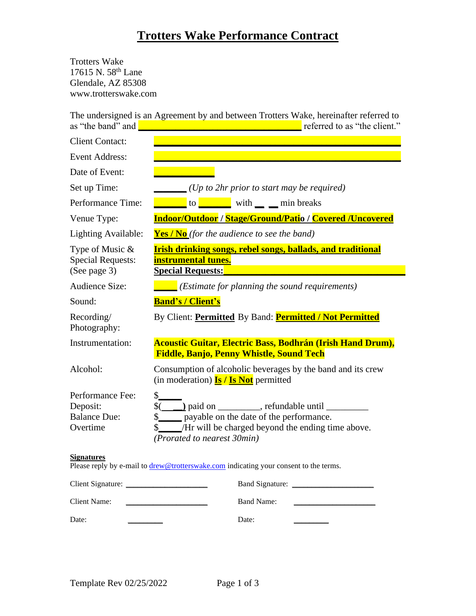# **Trotters Wake Performance Contract**

Trotters Wake 17615 N. 58th Lane Glendale, AZ 85308 www.trotterswake.com

The undersigned is an Agreement by and between Trotters Wake, hereinafter referred to as "the band" and **\_\_\_\_\_\_\_\_\_\_\_\_\_\_\_\_\_\_\_\_\_\_\_\_\_\_\_\_\_\_\_\_\_\_\_** referred to as "the client."

| ule band and                                                    | $\sim$ referred to as and enomy.                                                                                                                         |
|-----------------------------------------------------------------|----------------------------------------------------------------------------------------------------------------------------------------------------------|
| <b>Client Contact:</b>                                          |                                                                                                                                                          |
| <b>Event Address:</b>                                           |                                                                                                                                                          |
| Date of Event:                                                  |                                                                                                                                                          |
| Set up Time:                                                    | $\sqrt{U_p}$ to 2hr prior to start may be required)                                                                                                      |
| Performance Time:                                               | <b>COLORED EXECUTE:</b> with <u>quartic min</u> breaks                                                                                                   |
| Venue Type:                                                     | <b>Indoor/Outdoor / Stage/Ground/Patio / Covered /Uncovered</b>                                                                                          |
| Lighting Available:                                             | <b>Yes / No</b> (for the audience to see the band)                                                                                                       |
| Type of Music $&$<br><b>Special Requests:</b><br>(See page 3)   | <b>Irish drinking songs, rebel songs, ballads, and traditional</b><br>instrumental tunes.<br><b>Special Requests:</b>                                    |
| <b>Audience Size:</b>                                           | $\Box$ (Estimate for planning the sound requirements)                                                                                                    |
| Sound:                                                          | <b>Band's / Client's</b>                                                                                                                                 |
| Recording/<br>Photography:                                      | By Client: Permitted By Band: Permitted / Not Permitted                                                                                                  |
| Instrumentation:                                                | <b>Acoustic Guitar, Electric Bass, Bodhrán (Irish Hand Drum),</b><br><b>Fiddle, Banjo, Penny Whistle, Sound Tech</b>                                     |
| Alcohol:                                                        | Consumption of alcoholic beverages by the band and its crew<br>(in moderation) $\frac{I_s}{I_s}$ / $\frac{I_s}{I_s}$ permitted                           |
| Performance Fee:<br>Deposit:<br><b>Balance Due:</b><br>Overtime | $\frac{1}{2}$<br>\$______ payable on the date of the performance.<br>\$ /Hr will be charged beyond the ending time above.<br>(Prorated to nearest 30min) |
| <b>Signatures</b>                                               | Please reply by e-mail to drew@trotterswake.com indicating your consent to the terms.                                                                    |
| Client Signature:                                               | <b>Band Signature:</b>                                                                                                                                   |

| Chem Signature. | Danu Signature. |
|-----------------|-----------------|
| Client Name:    | Band Name:      |
| Date:           | Date:           |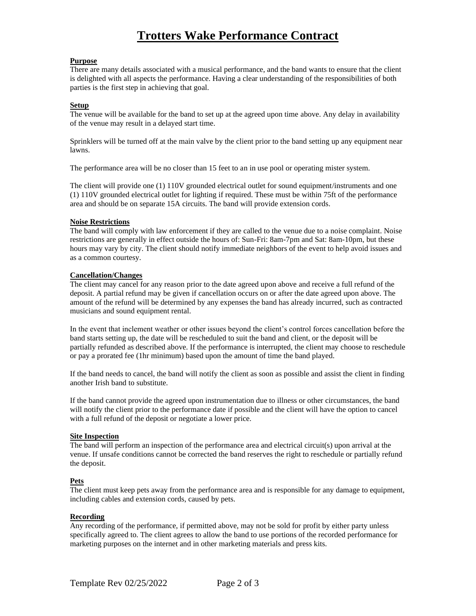# **Trotters Wake Performance Contract**

### **Purpose**

There are many details associated with a musical performance, and the band wants to ensure that the client is delighted with all aspects the performance. Having a clear understanding of the responsibilities of both parties is the first step in achieving that goal.

### **Setup**

The venue will be available for the band to set up at the agreed upon time above. Any delay in availability of the venue may result in a delayed start time.

Sprinklers will be turned off at the main valve by the client prior to the band setting up any equipment near lawns.

The performance area will be no closer than 15 feet to an in use pool or operating mister system.

The client will provide one (1) 110V grounded electrical outlet for sound equipment/instruments and one (1) 110V grounded electrical outlet for lighting if required. These must be within 75ft of the performance area and should be on separate 15A circuits. The band will provide extension cords.

### **Noise Restrictions**

The band will comply with law enforcement if they are called to the venue due to a noise complaint. Noise restrictions are generally in effect outside the hours of: Sun-Fri: 8am-7pm and Sat: 8am-10pm, but these hours may vary by city. The client should notify immediate neighbors of the event to help avoid issues and as a common courtesy.

# **Cancellation/Changes**

The client may cancel for any reason prior to the date agreed upon above and receive a full refund of the deposit. A partial refund may be given if cancellation occurs on or after the date agreed upon above. The amount of the refund will be determined by any expenses the band has already incurred, such as contracted musicians and sound equipment rental.

In the event that inclement weather or other issues beyond the client's control forces cancellation before the band starts setting up, the date will be rescheduled to suit the band and client, or the deposit will be partially refunded as described above. If the performance is interrupted, the client may choose to reschedule or pay a prorated fee (1hr minimum) based upon the amount of time the band played.

If the band needs to cancel, the band will notify the client as soon as possible and assist the client in finding another Irish band to substitute.

If the band cannot provide the agreed upon instrumentation due to illness or other circumstances, the band will notify the client prior to the performance date if possible and the client will have the option to cancel with a full refund of the deposit or negotiate a lower price.

#### **Site Inspection**

The band will perform an inspection of the performance area and electrical circuit(s) upon arrival at the venue. If unsafe conditions cannot be corrected the band reserves the right to reschedule or partially refund the deposit.

#### **Pets**

The client must keep pets away from the performance area and is responsible for any damage to equipment, including cables and extension cords, caused by pets.

#### **Recording**

Any recording of the performance, if permitted above, may not be sold for profit by either party unless specifically agreed to. The client agrees to allow the band to use portions of the recorded performance for marketing purposes on the internet and in other marketing materials and press kits.